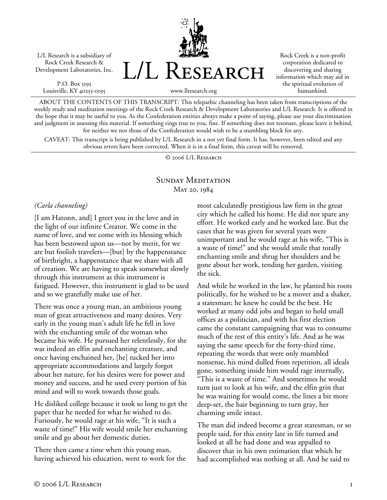L/L Research is a subsidiary of Rock Creek Research & Development Laboratories, Inc.

P.O. Box 5195 Louisville, KY 40255-0195 L/L Research

Rock Creek is a non-profit corporation dedicated to discovering and sharing information which may aid in the spiritual evolution of humankind.

www.llresearch.org

ABOUT THE CONTENTS OF THIS TRANSCRIPT: This telepathic channeling has been taken from transcriptions of the weekly study and meditation meetings of the Rock Creek Research & Development Laboratories and L/L Research. It is offered in the hope that it may be useful to you. As the Confederation entities always make a point of saying, please use your discrimination and judgment in assessing this material. If something rings true to you, fine. If something does not resonate, please leave it behind, for neither we nor those of the Confederation would wish to be a stumbling block for any.

CAVEAT: This transcript is being published by L/L Research in a not yet final form. It has, however, been edited and any obvious errors have been corrected. When it is in a final form, this caveat will be removed.

© 2006 L/L Research

# SUNDAY MEDITATION May 20, 1984

### *(Carla channeling)*

[I am Hatonn, and] I greet you in the love and in the light of our infinite Creator. We come in the name of love, and we come with its blessing which has been bestowed upon us—not by merit, for we are but foolish travelers—[but] by the happenstance of birthright, a happenstance that we share with all of creation. We are having to speak somewhat slowly through this instrument as this instrument is fatigued. However, this instrument is glad to be used and so we gratefully make use of her.

There was once a young man, an ambitious young man of great attractiveness and many desires. Very early in the young man's adult life he fell in love with the enchanting smile of the woman who became his wife. He pursued her relentlessly, for she was indeed an elfin and enchanting creature, and once having enchained her, [he] tucked her into appropriate accommodations and largely forgot about her nature, for his desires were for power and money and success, and he used every portion of his mind and will to work towards those goals.

He disliked college because it took so long to get the paper that he needed for what he wished to do. Furiously, he would rage at his wife, "It is such a waste of time!" His wife would smile her enchanting smile and go about her domestic duties.

There then came a time when this young man, having achieved his education, went to work for the most calculatedly prestigious law firm in the great city which he called his home. He did not spare any effort. He worked early and he worked late. But the cases that he was given for several years were unimportant and he would rage at his wife, "This is a waste of time!" and she would smile that totally enchanting smile and shrug her shoulders and be gone about her work, tending her garden, visiting the sick.

And while he worked in the law, he planted his roots politically, for he wished to be a mover and a shaker, a statesman; he knew he could be the best. He worked at many odd jobs and began to hold small offices as a politician, and with his first election came the constant campaigning that was to consume much of the rest of this entity's life. And as he was saying the same speech for the forty-third time, repeating the words that were only mumbled nonsense, his mind dulled from repetition, all ideals gone, something inside him would rage internally, "This is a waste of time." And sometimes he would turn just to look at his wife, and the elfin grin that he was waiting for would come, the lines a bit more deep-set, the hair beginning to turn gray, her charming smile intact.

The man did indeed become a great statesman, or so people said, for this entity late in life turned and looked at all he had done and was appalled to discover that in his own estimation that which he had accomplished was nothing at all. And he said to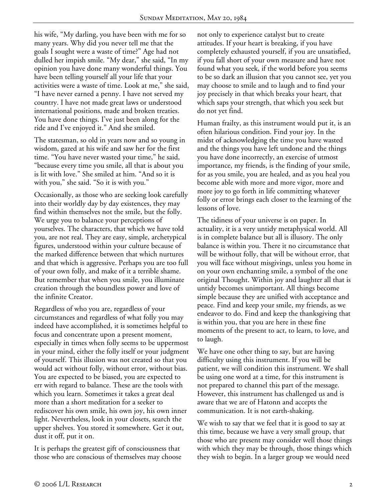his wife, "My darling, you have been with me for so many years. Why did you never tell me that the goals I sought were a waste of time?" Age had not dulled her impish smile. "My dear," she said, "In my opinion you have done many wonderful things. You have been telling yourself all your life that your activities were a waste of time. Look at me," she said, "I have never earned a penny. I have not served my country. I have not made great laws or understood international positions, made and broken treaties. You have done things. I've just been along for the ride and I've enjoyed it." And she smiled.

The statesman, so old in years now and so young in wisdom, gazed at his wife and saw her for the first time. "You have never wasted your time," he said, "because every time you smile, all that is about you is lit with love." She smiled at him. "And so it is with you," she said. "So it is with you."

Occasionally, as those who are seeking look carefully into their worldly day by day existences, they may find within themselves not the smile, but the folly. We urge you to balance your perceptions of yourselves. The characters, that which we have told you, are not real. They are easy, simple, archetypical figures, understood within your culture because of the marked difference between that which nurtures and that which is aggressive. Perhaps you are too full of your own folly, and make of it a terrible shame. But remember that when you smile, you illuminate creation through the boundless power and love of the infinite Creator.

Regardless of who you are, regardless of your circumstances and regardless of what folly you may indeed have accomplished, it is sometimes helpful to focus and concentrate upon a present moment, especially in times when folly seems to be uppermost in your mind, either the folly itself or your judgment of yourself. This illusion was not created so that you would act without folly, without error, without bias. You are expected to be biased, you are expected to err with regard to balance. These are the tools with which you learn. Sometimes it takes a great deal more than a short meditation for a seeker to rediscover his own smile, his own joy, his own inner light. Nevertheless, look in your closets, search the upper shelves. You stored it somewhere. Get it out, dust it off, put it on.

It is perhaps the greatest gift of consciousness that those who are conscious of themselves may choose not only to experience catalyst but to create attitudes. If your heart is breaking, if you have completely exhausted yourself, if you are unsatisfied, if you fall short of your own measure and have not found what you seek, if the world before you seems to be so dark an illusion that you cannot see, yet you may choose to smile and to laugh and to find your joy precisely in that which breaks your heart, that which saps your strength, that which you seek but do not yet find.

Human frailty, as this instrument would put it, is an often hilarious condition. Find your joy. In the midst of acknowledging the time you have wasted and the things you have left undone and the things you have done incorrectly, an exercise of utmost importance, my friends, is the finding of your smile, for as you smile, you are healed, and as you heal you become able with more and more vigor, more and more joy to go forth in life committing whatever folly or error brings each closer to the learning of the lessons of love.

The tidiness of your universe is on paper. In actuality, it is a very untidy metaphysical world. All is in complete balance but all is illusory. The only balance is within you. There it no circumstance that will be without folly, that will be without error, that you will face without misgivings, unless you home in on your own enchanting smile, a symbol of the one original Thought. Within joy and laughter all that is untidy becomes unimportant. All things become simple because they are unified with acceptance and peace. Find and keep your smile, my friends, as we endeavor to do. Find and keep the thanksgiving that is within you, that you are here in these fine moments of the present to act, to learn, to love, and to laugh.

We have one other thing to say, but are having difficulty using this instrument. If you will be patient, we will condition this instrument. We shall be using one word at a time, for this instrument is not prepared to channel this part of the message. However, this instrument has challenged us and is aware that we are of Hatonn and accepts the communication. It is not earth-shaking.

We wish to say that we feel that it is good to say at this time, because we have a very small group, that those who are present may consider well those things with which they may be through, those things which they wish to begin. In a larger group we would need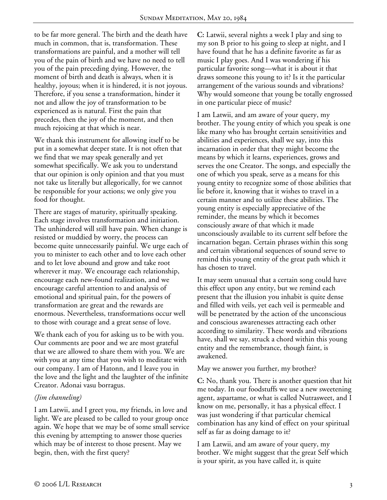to be far more general. The birth and the death have much in common, that is, transformation. These transformations are painful, and a mother will tell you of the pain of birth and we have no need to tell you of the pain preceding dying. However, the moment of birth and death is always, when it is healthy, joyous; when it is hindered, it is not joyous. Therefore, if you sense a transformation, hinder it not and allow the joy of transformation to be experienced as is natural. First the pain that precedes, then the joy of the moment, and then much rejoicing at that which is near.

We thank this instrument for allowing itself to be put in a somewhat deeper state. It is not often that we find that we may speak generally and yet somewhat specifically. We ask you to understand that our opinion is only opinion and that you must not take us literally but allegorically, for we cannot be responsible for your actions; we only give you food for thought.

There are stages of maturity, spiritually speaking. Each stage involves transformation and initiation. The unhindered will still have pain. When change is resisted or muddied by worry, the process can become quite unnecessarily painful. We urge each of you to minister to each other and to love each other and to let love abound and grow and take root wherever it may. We encourage each relationship, encourage each new-found realization, and we encourage careful attention to and analysis of emotional and spiritual pain, for the powers of transformation are great and the rewards are enormous. Nevertheless, transformations occur well to those with courage and a great sense of love.

We thank each of you for asking us to be with you. Our comments are poor and we are most grateful that we are allowed to share them with you. We are with you at any time that you wish to meditate with our company. I am of Hatonn, and I leave you in the love and the light and the laughter of the infinite Creator. Adonai vasu borragus.

## *(Jim channeling)*

I am Latwii, and I greet you, my friends, in love and light. We are pleased to be called to your group once again. We hope that we may be of some small service this evening by attempting to answer those queries which may be of interest to those present. May we begin, then, with the first query?

**C:** Latwii, several nights a week I play and sing to my son B prior to his going to sleep at night, and I have found that he has a definite favorite as far as music I play goes. And I was wondering if his particular favorite song—what it is about it that draws someone this young to it? Is it the particular arrangement of the various sounds and vibrations? Why would someone that young be totally engrossed in one particular piece of music?

I am Latwii, and am aware of your query, my brother. The young entity of which you speak is one like many who has brought certain sensitivities and abilities and experiences, shall we say, into this incarnation in order that they might become the means by which it learns, experiences, grows and serves the one Creator. The songs, and especially the one of which you speak, serve as a means for this young entity to recognize some of those abilities that lie before it, knowing that it wishes to travel in a certain manner and to utilize these abilities. The young entity is especially appreciative of the reminder, the means by which it becomes consciously aware of that which it made unconsciously available to its current self before the incarnation began. Certain phrases within this song and certain vibrational sequences of sound serve to remind this young entity of the great path which it has chosen to travel.

It may seem unusual that a certain song could have this effect upon any entity, but we remind each present that the illusion you inhabit is quite dense and filled with veils, yet each veil is permeable and will be penetrated by the action of the unconscious and conscious awarenesses attracting each other according to similarity. These words and vibrations have, shall we say, struck a chord within this young entity and the remembrance, though faint, is awakened.

May we answer you further, my brother?

**C:** No, thank you. There is another question that hit me today. In our foodstuffs we use a new sweetening agent, aspartame, or what is called Nutrasweet, and I know on me, personally, it has a physical effect. I was just wondering if that particular chemical combination has any kind of effect on your spiritual self as far as doing damage to it?

I am Latwii, and am aware of your query, my brother. We might suggest that the great Self which is your spirit, as you have called it, is quite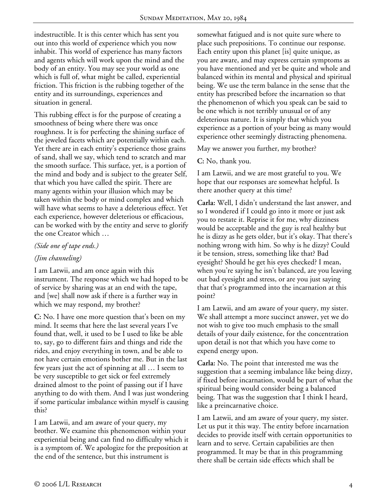indestructible. It is this center which has sent you out into this world of experience which you now inhabit. This world of experience has many factors and agents which will work upon the mind and the body of an entity. You may see your world as one which is full of, what might be called, experiential friction. This friction is the rubbing together of the entity and its surroundings, experiences and situation in general.

This rubbing effect is for the purpose of creating a smoothness of being where there was once roughness. It is for perfecting the shining surface of the jeweled facets which are potentially within each. Yet there are in each entity's experience those grains of sand, shall we say, which tend to scratch and mar the smooth surface. This surface, yet, is a portion of the mind and body and is subject to the greater Self, that which you have called the spirit. There are many agents within your illusion which may be taken within the body or mind complex and which will have what seems to have a deleterious effect. Yet each experience, however deleterious or efficacious, can be worked with by the entity and serve to glorify the one Creator which …

### *(Side one of tape ends.)*

## *(Jim channeling)*

I am Latwii, and am once again with this instrument. The response which we had hoped to be of service by sharing was at an end with the tape, and [we] shall now ask if there is a further way in which we may respond, my brother?

**C:** No. I have one more question that's been on my mind. It seems that here the last several years I've found that, well, it used to be I used to like be able to, say, go to different fairs and things and ride the rides, and enjoy everything in town, and be able to not have certain emotions bother me. But in the last few years just the act of spinning at all … I seem to be very susceptible to get sick or feel extremely drained almost to the point of passing out if I have anything to do with them. And I was just wondering if some particular imbalance within myself is causing this?

I am Latwii, and am aware of your query, my brother. We examine this phenomenon within your experiential being and can find no difficulty which it is a symptom of. We apologize for the preposition at the end of the sentence, but this instrument is

somewhat fatigued and is not quite sure where to place such prepositions. To continue our response. Each entity upon this planet [is] quite unique, as you are aware, and may express certain symptoms as you have mentioned and yet be quite and whole and balanced within its mental and physical and spiritual being. We use the term balance in the sense that the entity has prescribed before the incarnation so that the phenomenon of which you speak can be said to be one which is not terribly unusual or of any deleterious nature. It is simply that which you experience as a portion of your being as many would experience other seemingly distracting phenomena.

May we answer you further, my brother?

**C:** No, thank you.

I am Latwii, and we are most grateful to you. We hope that our responses are somewhat helpful. Is there another query at this time?

**Carla:** Well, I didn't understand the last answer, and so I wondered if I could go into it more or just ask you to restate it. Reprise it for me, why dizziness would be acceptable and the guy is real healthy but he is dizzy as he gets older, but it's okay. That there's nothing wrong with him. So why is he dizzy? Could it be tension, stress, something like that? Bad eyesight? Should he get his eyes checked? I mean, when you're saying he isn't balanced, are you leaving out bad eyesight and stress, or are you just saying that that's programmed into the incarnation at this point?

I am Latwii, and am aware of your query, my sister. We shall attempt a more succinct answer, yet we do not wish to give too much emphasis to the small details of your daily existence, for the concentration upon detail is not that which you have come to expend energy upon.

**Carla:** No. The point that interested me was the suggestion that a seeming imbalance like being dizzy, if fixed before incarnation, would be part of what the spiritual being would consider being a balanced being. That was the suggestion that I think I heard, like a preincarnative choice.

I am Latwii, and am aware of your query, my sister. Let us put it this way. The entity before incarnation decides to provide itself with certain opportunities to learn and to serve. Certain capabilities are then programmed. It may be that in this programming there shall be certain side effects which shall be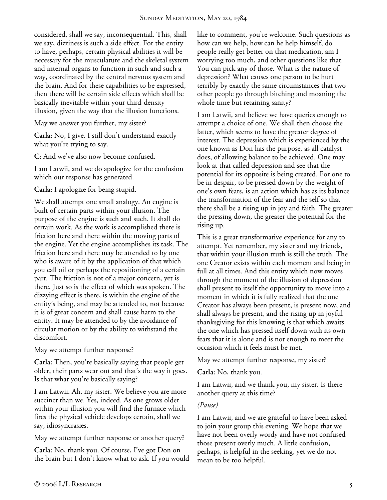considered, shall we say, inconsequential. This, shall we say, dizziness is such a side effect. For the entity to have, perhaps, certain physical abilities it will be necessary for the musculature and the skeletal system and internal organs to function in such and such a way, coordinated by the central nervous system and the brain. And for these capabilities to be expressed, then there will be certain side effects which shall be basically inevitable within your third-density illusion, given the way that the illusion functions.

May we answer you further, my sister?

**Carla:** No, I give. I still don't understand exactly what you're trying to say.

**C:** And we've also now become confused.

I am Latwii, and we do apologize for the confusion which our response has generated.

**Carla:** I apologize for being stupid.

We shall attempt one small analogy. An engine is built of certain parts within your illusion. The purpose of the engine is such and such. It shall do certain work. As the work is accomplished there is friction here and there within the moving parts of the engine. Yet the engine accomplishes its task. The friction here and there may be attended to by one who is aware of it by the application of that which you call oil or perhaps the repositioning of a certain part. The friction is not of a major concern, yet is there. Just so is the effect of which was spoken. The dizzying effect is there, is within the engine of the entity's being, and may be attended to, not because it is of great concern and shall cause harm to the entity. It may be attended to by the avoidance of circular motion or by the ability to withstand the discomfort.

May we attempt further response?

**Carla:** Then, you're basically saying that people get older, their parts wear out and that's the way it goes. Is that what you're basically saying?

I am Latwii. Ah, my sister. We believe you are more succinct than we. Yes, indeed. As one grows older within your illusion you will find the furnace which fires the physical vehicle develops certain, shall we say, idiosyncrasies.

May we attempt further response or another query?

**Carla:** No, thank you. Of course, I've got Don on the brain but I don't know what to ask. If you would like to comment, you're welcome. Such questions as how can we help, how can he help himself, do people really get better on that medication, am I worrying too much, and other questions like that. You can pick any of those. What is the nature of depression? What causes one person to be hurt terribly by exactly the same circumstances that two other people go through bitching and moaning the whole time but retaining sanity?

I am Latwii, and believe we have queries enough to attempt a choice of one. We shall then choose the latter, which seems to have the greater degree of interest. The depression which is experienced by the one known as Don has the purpose, as all catalyst does, of allowing balance to be achieved. One may look at that called depression and see that the potential for its opposite is being created. For one to be in despair, to be pressed down by the weight of one's own fears, is an action which has as its balance the transformation of the fear and the self so that there shall be a rising up in joy and faith. The greater the pressing down, the greater the potential for the rising up.

This is a great transformative experience for any to attempt. Yet remember, my sister and my friends, that within your illusion truth is still the truth. The one Creator exists within each moment and being in full at all times. And this entity which now moves through the moment of the illusion of depression shall present to itself the opportunity to move into a moment in which it is fully realized that the one Creator has always been present, is present now, and shall always be present, and the rising up in joyful thanksgiving for this knowing is that which awaits the one which has pressed itself down with its own fears that it is alone and is not enough to meet the occasion which it feels must be met.

May we attempt further response, my sister?

**Carla:** No, thank you.

I am Latwii, and we thank you, my sister. Is there another query at this time?

## *(Pause)*

I am Latwii, and we are grateful to have been asked to join your group this evening. We hope that we have not been overly wordy and have not confused those present overly much. A little confusion, perhaps, is helpful in the seeking, yet we do not mean to be too helpful.